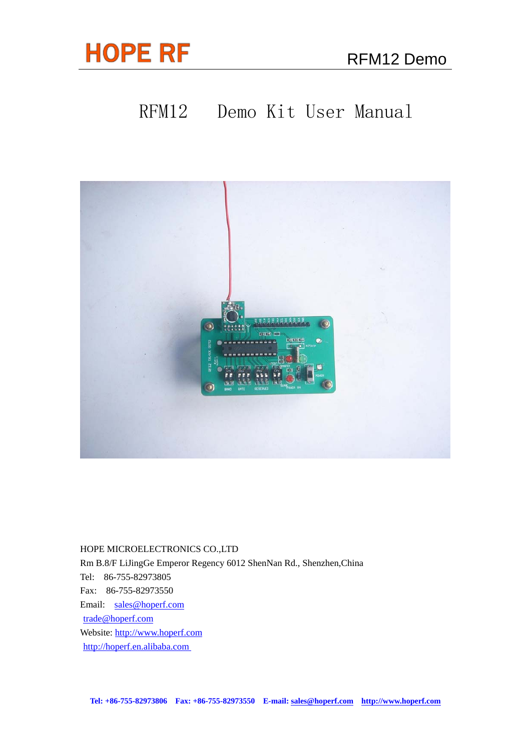

# RFM12 Demo Kit User Manual



HOPE MICROELECTRONICS CO.,LTD

Rm B.8/F LiJingGe Emperor Regency 6012 ShenNan Rd., Shenzhen,China Tel: 86-755-82973805 Fax: 86-755-82973550

Email: [sales@hoperf.com](mailto:sales@hoperf.com)  [trade@hoperf.com](mailto:trade@hoperf.com) Website: [http://www.hoperf.com](http://www.hoperf.com/) [http://hoperf.en.alibaba.com](http://hoperf.en.alibaba.com/)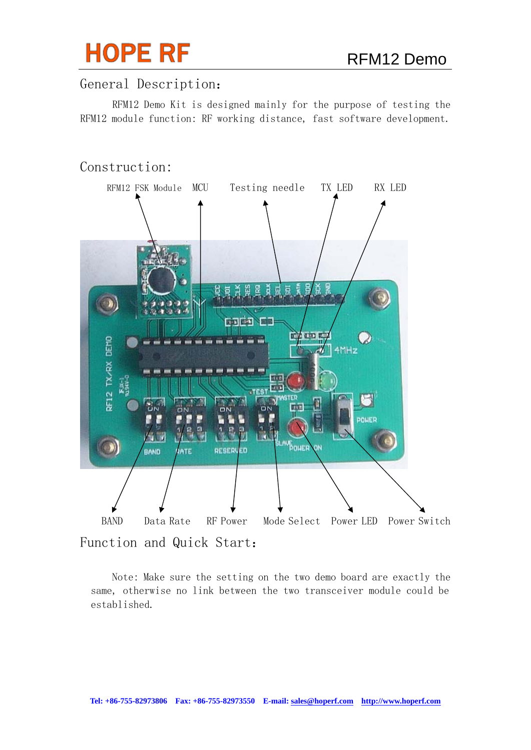

## General Description:

RFM12 Demo Kit is designed mainly for the purpose of testing the RFM12 module function: RF working distance, fast software development.

## Construction:



Function and Quick Start:

Note: Make sure the setting on the two demo board are exactly the same, otherwise no link between the two transceiver module could be established.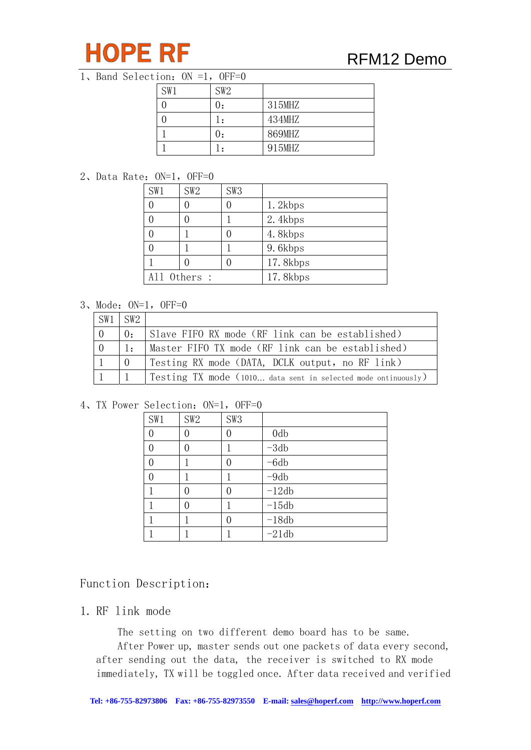

## RFM12 Demo

#### 1、Band Selection:  $0N = 1$ ,  $0FF=0$

| SW1 | SW <sub>2</sub> |        |
|-----|-----------------|--------|
|     |                 | 315MHZ |
|     |                 | 434MHZ |
|     | U:              | 869MHZ |
|     |                 | 915MHZ |

#### 2、Data Rate:ON=1,OFF=0

| SW1          | SW2 | SW <sub>3</sub> |          |
|--------------|-----|-----------------|----------|
|              |     |                 | 1.2kbps  |
|              |     |                 | 2.4kbps  |
|              |     |                 | 4.8kbps  |
|              |     |                 | 9.6kbps  |
|              |     |                 | 17.8kbps |
| All Others : |     |                 | 17.8kbps |

## 3、Mode:ON=1,OFF=0

| $\sqrt{\text{SW1}}$ $\sqrt{\text{SW2}}$ |                |                                                               |
|-----------------------------------------|----------------|---------------------------------------------------------------|
| $\overline{0}$                          | $\mathbf{0}$ . | Slave FIFO RX mode (RF link can be established)               |
| $\bigcap$                               | 1:             | Master FIFO TX mode (RF link can be established)              |
|                                         |                | Testing RX mode (DATA, DCLK output, no RF link)               |
|                                         |                | Testing TX mode (1010 data sent in selected mode ontinuously) |

#### 4、TX Power Selection: ON=1, OFF=0

| SW1 | SW <sub>2</sub> | SW <sub>3</sub> |                 |
|-----|-----------------|-----------------|-----------------|
|     |                 |                 | 0 <sub>db</sub> |
|     |                 |                 | $-3db$          |
|     |                 |                 | $-6db$          |
|     |                 |                 | $-9db$          |
|     |                 |                 | $-12db$         |
|     |                 |                 | $-15db$         |
|     |                 |                 | $-18db$         |
|     |                 |                 | $-21db$         |

## Function Description:

### 1. RF link mode

The setting on two different demo board has to be same.

After Power up, master sends out one packets of data every second, after sending out the data, the receiver is switched to RX mode immediately, TX will be toggled once. After data received and verified